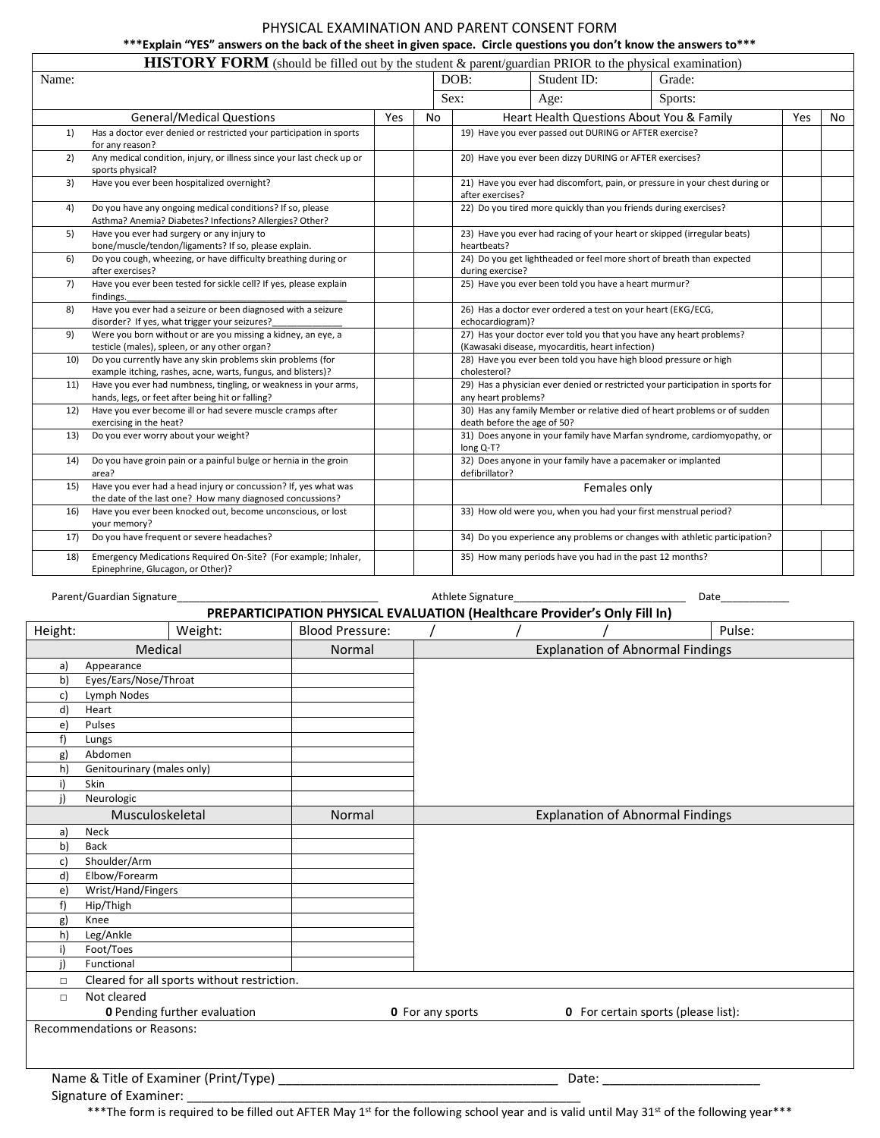## PHYSICAL EXAMINATION AND PARENT CONSENT FORM

## **\*\*\*Explain "YES" answers on the back of the sheet in given space. Circle questions you don't know the answers to\*\*\***

|       | <b>HISTORY FORM</b> (should be filled out by the student & parent/guardian PRIOR to the physical examination)                |     |    |                                                                                                 |                                                                  |                                                                                |     |     |
|-------|------------------------------------------------------------------------------------------------------------------------------|-----|----|-------------------------------------------------------------------------------------------------|------------------------------------------------------------------|--------------------------------------------------------------------------------|-----|-----|
| Name: |                                                                                                                              |     |    | DOB:                                                                                            | Student ID:                                                      | Grade:                                                                         |     |     |
|       |                                                                                                                              |     |    | Sex:                                                                                            | Age:                                                             | Sports:                                                                        |     |     |
|       | <b>General/Medical Questions</b>                                                                                             | Yes | No |                                                                                                 | Heart Health Questions About You & Family                        |                                                                                | Yes | No. |
| 1)    | Has a doctor ever denied or restricted your participation in sports<br>for any reason?                                       |     |    |                                                                                                 | 19) Have you ever passed out DURING or AFTER exercise?           |                                                                                |     |     |
| 2)    | Any medical condition, injury, or illness since your last check up or<br>sports physical?                                    |     |    | 20) Have you ever been dizzy DURING or AFTER exercises?                                         |                                                                  |                                                                                |     |     |
| 3)    | Have you ever been hospitalized overnight?                                                                                   |     |    | 21) Have you ever had discomfort, pain, or pressure in your chest during or<br>after exercises? |                                                                  |                                                                                |     |     |
| 4)    | Do you have any ongoing medical conditions? If so, please<br>Asthma? Anemia? Diabetes? Infections? Allergies? Other?         |     |    | 22) Do you tired more quickly than you friends during exercises?                                |                                                                  |                                                                                |     |     |
| 5)    | Have you ever had surgery or any injury to<br>bone/muscle/tendon/ligaments? If so, please explain.                           |     |    | 23) Have you ever had racing of your heart or skipped (irregular beats)<br>heartbeats?          |                                                                  |                                                                                |     |     |
| 6)    | Do you cough, wheezing, or have difficulty breathing during or<br>after exercises?                                           |     |    | 24) Do you get lightheaded or feel more short of breath than expected<br>during exercise?       |                                                                  |                                                                                |     |     |
| 7)    | Have you ever been tested for sickle cell? If yes, please explain<br>findings.                                               |     |    |                                                                                                 | 25) Have you ever been told you have a heart murmur?             |                                                                                |     |     |
| 8)    | Have you ever had a seizure or been diagnosed with a seizure<br>disorder? If yes, what trigger your seizures?                |     |    | echocardiogram)?                                                                                | 26) Has a doctor ever ordered a test on your heart (EKG/ECG,     |                                                                                |     |     |
| 9)    | Were you born without or are you missing a kidney, an eye, a<br>testicle (males), spleen, or any other organ?                |     |    |                                                                                                 | (Kawasaki disease, myocarditis, heart infection)                 | 27) Has your doctor ever told you that you have any heart problems?            |     |     |
| 10)   | Do you currently have any skin problems skin problems (for<br>example itching, rashes, acne, warts, fungus, and blisters)?   |     |    | cholesterol?                                                                                    | 28) Have you ever been told you have high blood pressure or high |                                                                                |     |     |
| 11)   | Have you ever had numbness, tingling, or weakness in your arms,<br>hands, legs, or feet after being hit or falling?          |     |    | any heart problems?                                                                             |                                                                  | 29) Has a physician ever denied or restricted your participation in sports for |     |     |
| 12)   | Have you ever become ill or had severe muscle cramps after<br>exercising in the heat?                                        |     |    |                                                                                                 | death before the age of 50?                                      | 30) Has any family Member or relative died of heart problems or of sudden      |     |     |
| 13)   | Do you ever worry about your weight?                                                                                         |     |    | long Q-T?                                                                                       |                                                                  | 31) Does anyone in your family have Marfan syndrome, cardiomyopathy, or        |     |     |
| 14)   | Do you have groin pain or a painful bulge or hernia in the groin<br>area?                                                    |     |    | defibrillator?                                                                                  | 32) Does anyone in your family have a pacemaker or implanted     |                                                                                |     |     |
| 15)   | Have you ever had a head injury or concussion? If, yes what was<br>the date of the last one? How many diagnosed concussions? |     |    |                                                                                                 | Females only                                                     |                                                                                |     |     |
| 16)   | Have you ever been knocked out, become unconscious, or lost<br>your memory?                                                  |     |    |                                                                                                 | 33) How old were you, when you had your first menstrual period?  |                                                                                |     |     |
| 17)   | Do you have frequent or severe headaches?                                                                                    |     |    |                                                                                                 |                                                                  | 34) Do you experience any problems or changes with athletic participation?     |     |     |
| 18)   | Emergency Medications Required On-Site? (For example; Inhaler,<br>Epinephrine, Glucagon, or Other)?                          |     |    |                                                                                                 | 35) How many periods have you had in the past 12 months?         |                                                                                |     |     |

Parent/Guardian Signature\_\_\_\_\_\_\_\_\_\_\_\_\_\_\_\_\_\_\_\_\_\_\_\_\_\_\_\_\_\_\_\_\_\_\_ Athlete Signature\_\_\_\_\_\_\_\_\_\_\_\_\_\_\_\_\_\_\_\_\_\_\_\_\_\_\_\_\_\_ Date\_\_\_\_\_\_\_\_\_\_\_\_

| PREPARTICIPATION PHYSICAL EVALUATION (Healthcare Provider's Only Fill In) |                                     |                                             |                        |                                         |  |                                            |        |  |  |  |  |
|---------------------------------------------------------------------------|-------------------------------------|---------------------------------------------|------------------------|-----------------------------------------|--|--------------------------------------------|--------|--|--|--|--|
| Height:                                                                   |                                     | Weight:                                     | <b>Blood Pressure:</b> |                                         |  |                                            | Pulse: |  |  |  |  |
|                                                                           | Medical                             |                                             | Normal                 | <b>Explanation of Abnormal Findings</b> |  |                                            |        |  |  |  |  |
| a)                                                                        | Appearance                          |                                             |                        |                                         |  |                                            |        |  |  |  |  |
| b)                                                                        | Eyes/Ears/Nose/Throat               |                                             |                        |                                         |  |                                            |        |  |  |  |  |
| c)                                                                        | Lymph Nodes                         |                                             |                        |                                         |  |                                            |        |  |  |  |  |
| d)                                                                        | Heart                               |                                             |                        |                                         |  |                                            |        |  |  |  |  |
| e)                                                                        | Pulses                              |                                             |                        |                                         |  |                                            |        |  |  |  |  |
| f                                                                         | Lungs                               |                                             |                        |                                         |  |                                            |        |  |  |  |  |
| g)                                                                        | Abdomen                             |                                             |                        |                                         |  |                                            |        |  |  |  |  |
| h)                                                                        | Genitourinary (males only)          |                                             |                        |                                         |  |                                            |        |  |  |  |  |
| i)                                                                        | Skin                                |                                             |                        |                                         |  |                                            |        |  |  |  |  |
| i)                                                                        | Neurologic                          |                                             |                        |                                         |  |                                            |        |  |  |  |  |
| Musculoskeletal                                                           |                                     |                                             | Normal                 |                                         |  | <b>Explanation of Abnormal Findings</b>    |        |  |  |  |  |
| a)                                                                        | Neck                                |                                             |                        |                                         |  |                                            |        |  |  |  |  |
| b)                                                                        | <b>Back</b>                         |                                             |                        |                                         |  |                                            |        |  |  |  |  |
| c)                                                                        | Shoulder/Arm                        |                                             |                        |                                         |  |                                            |        |  |  |  |  |
| d)                                                                        | Elbow/Forearm                       |                                             |                        |                                         |  |                                            |        |  |  |  |  |
| e)                                                                        | Wrist/Hand/Fingers                  |                                             |                        |                                         |  |                                            |        |  |  |  |  |
| f                                                                         | Hip/Thigh                           |                                             |                        |                                         |  |                                            |        |  |  |  |  |
| g)                                                                        | Knee                                |                                             |                        |                                         |  |                                            |        |  |  |  |  |
| h)                                                                        | Leg/Ankle                           |                                             |                        |                                         |  |                                            |        |  |  |  |  |
| i)                                                                        | Foot/Toes                           |                                             |                        |                                         |  |                                            |        |  |  |  |  |
| i)                                                                        | Functional                          |                                             |                        |                                         |  |                                            |        |  |  |  |  |
| □                                                                         |                                     | Cleared for all sports without restriction. |                        |                                         |  |                                            |        |  |  |  |  |
| $\Box$                                                                    | Not cleared                         |                                             |                        |                                         |  |                                            |        |  |  |  |  |
|                                                                           | <b>0</b> Pending further evaluation |                                             |                        | <b>0</b> For any sports                 |  | <b>0</b> For certain sports (please list): |        |  |  |  |  |
|                                                                           | Recommendations or Reasons:         |                                             |                        |                                         |  |                                            |        |  |  |  |  |
|                                                                           |                                     |                                             |                        |                                         |  |                                            |        |  |  |  |  |
|                                                                           |                                     |                                             |                        |                                         |  |                                            |        |  |  |  |  |
|                                                                           |                                     | Name & Title of Examiner (Print/Type)       |                        |                                         |  | Date:                                      |        |  |  |  |  |

Signature of Examiner: \_

\*\*\*The form is required to be filled out AFTER May 1<sup>st</sup> for the following school year and is valid until May 31<sup>st</sup> of the following year\*\*\*